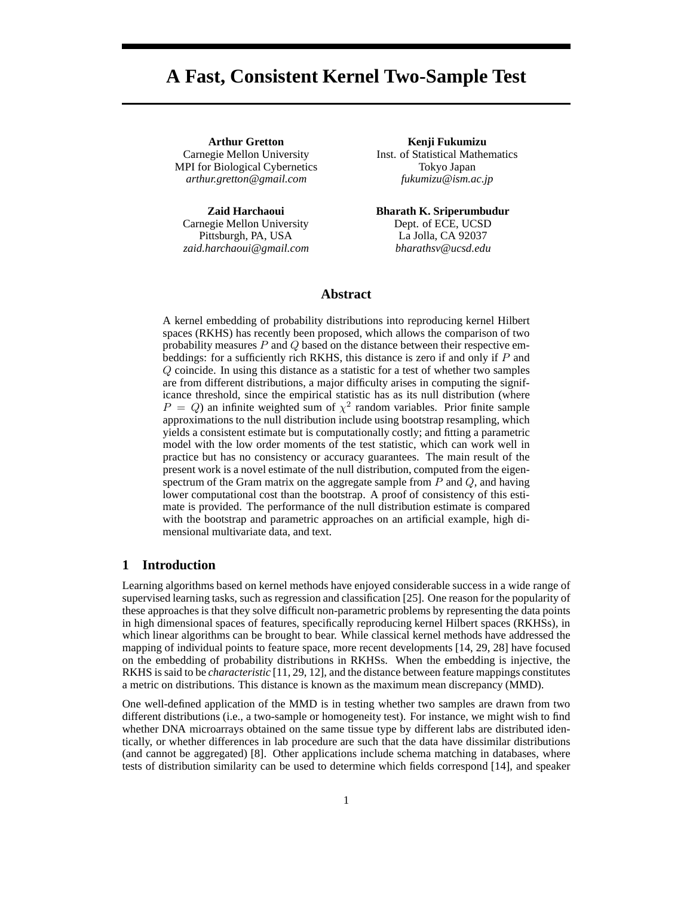# **A Fast, Consistent Kernel Two-Sample Test**

**Arthur Gretton** Carnegie Mellon University MPI for Biological Cybernetics *arthur.gretton@gmail.com*

**Zaid Harchaoui** Carnegie Mellon University Pittsburgh, PA, USA *zaid.harchaoui@gmail.com*

**Kenji Fukumizu** Inst. of Statistical Mathematics Tokyo Japan *fukumizu@ism.ac.jp*

**Bharath K. Sriperumbudur** Dept. of ECE, UCSD La Jolla, CA 92037 *bharathsv@ucsd.edu*

# **Abstract**

A kernel embedding of probability distributions into reproducing kernel Hilbert spaces (RKHS) has recently been proposed, which allows the comparison of two probability measures  $P$  and  $Q$  based on the distance between their respective embeddings: for a sufficiently rich RKHS, this distance is zero if and only if  $P$  and Q coincide. In using this distance as a statistic for a test of whether two samples are from different distributions, a major difficulty arises in computing the significance threshold, since the empirical statistic has as its null distribution (where  $P = Q$ ) an infinite weighted sum of  $\chi^2$  random variables. Prior finite sample approximations to the null distribution include using bootstrap resampling, which yields a consistent estimate but is computationally costly; and fitting a parametric model with the low order moments of the test statistic, which can work well in practice but has no consistency or accuracy guarantees. The main result of the present work is a novel estimate of the null distribution, computed from the eigenspectrum of the Gram matrix on the aggregate sample from  $P$  and  $Q$ , and having lower computational cost than the bootstrap. A proof of consistency of this estimate is provided. The performance of the null distribution estimate is compared with the bootstrap and parametric approaches on an artificial example, high dimensional multivariate data, and text.

## **1 Introduction**

Learning algorithms based on kernel methods have enjoyed considerable success in a wide range of supervised learning tasks, such as regression and classification [25]. One reason for the popularity of these approaches is that they solve difficult non-parametric problems by representing the data points in high dimensional spaces of features, specifically reproducing kernel Hilbert spaces (RKHSs), in which linear algorithms can be brought to bear. While classical kernel methods have addressed the mapping of individual points to feature space, more recent developments [14, 29, 28] have focused on the embedding of probability distributions in RKHSs. When the embedding is injective, the RKHS is said to be *characteristic* [11, 29, 12], and the distance between feature mappings constitutes a metric on distributions. This distance is known as the maximum mean discrepancy (MMD).

One well-defined application of the MMD is in testing whether two samples are drawn from two different distributions (i.e., a two-sample or homogeneity test). For instance, we might wish to find whether DNA microarrays obtained on the same tissue type by different labs are distributed identically, or whether differences in lab procedure are such that the data have dissimilar distributions (and cannot be aggregated) [8]. Other applications include schema matching in databases, where tests of distribution similarity can be used to determine which fields correspond [14], and speaker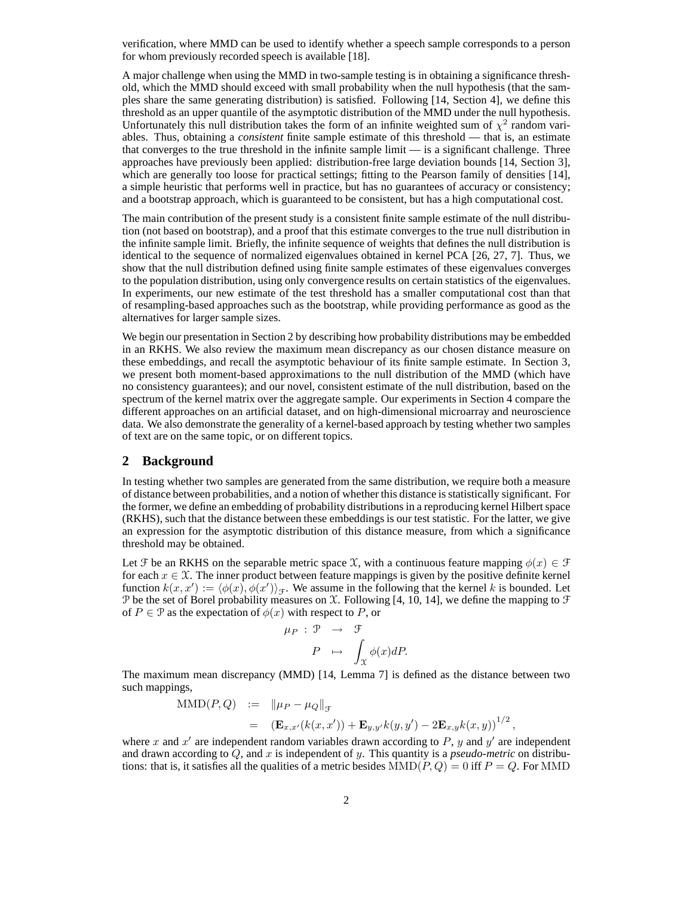verification, where MMD can be used to identify whether a speech sample corresponds to a person for whom previously recorded speech is available [18].

A major challenge when using the MMD in two-sample testing is in obtaining a significance threshold, which the MMD should exceed with small probability when the null hypothesis (that the samples share the same generating distribution) is satisfied. Following [14, Section 4], we define this threshold as an upper quantile of the asymptotic distribution of the MMD under the null hypothesis. Unfortunately this null distribution takes the form of an infinite weighted sum of  $\chi^2$  random variables. Thus, obtaining a *consistent* finite sample estimate of this threshold — that is, an estimate that converges to the true threshold in the infinite sample limit — is a significant challenge. Three approaches have previously been applied: distribution-free large deviation bounds [14, Section 3], which are generally too loose for practical settings; fitting to the Pearson family of densities [14], a simple heuristic that performs well in practice, but has no guarantees of accuracy or consistency; and a bootstrap approach, which is guaranteed to be consistent, but has a high computational cost.

The main contribution of the present study is a consistent finite sample estimate of the null distribution (not based on bootstrap), and a proof that this estimate converges to the true null distribution in the infinite sample limit. Briefly, the infinite sequence of weights that defines the null distribution is identical to the sequence of normalized eigenvalues obtained in kernel PCA [26, 27, 7]. Thus, we show that the null distribution defined using finite sample estimates of these eigenvalues converges to the population distribution, using only convergence results on certain statistics of the eigenvalues. In experiments, our new estimate of the test threshold has a smaller computational cost than that of resampling-based approaches such as the bootstrap, while providing performance as good as the alternatives for larger sample sizes.

We begin our presentation in Section 2 by describing how probability distributions may be embedded in an RKHS. We also review the maximum mean discrepancy as our chosen distance measure on these embeddings, and recall the asymptotic behaviour of its finite sample estimate. In Section 3, we present both moment-based approximations to the null distribution of the MMD (which have no consistency guarantees); and our novel, consistent estimate of the null distribution, based on the spectrum of the kernel matrix over the aggregate sample. Our experiments in Section 4 compare the different approaches on an artificial dataset, and on high-dimensional microarray and neuroscience data. We also demonstrate the generality of a kernel-based approach by testing whether two samples of text are on the same topic, or on different topics.

## **2 Background**

In testing whether two samples are generated from the same distribution, we require both a measure of distance between probabilities, and a notion of whether this distance is statistically significant. For the former, we define an embedding of probability distributions in a reproducing kernel Hilbert space (RKHS), such that the distance between these embeddings is our test statistic. For the latter, we give an expression for the asymptotic distribution of this distance measure, from which a significance threshold may be obtained.

Let F be an RKHS on the separable metric space X, with a continuous feature mapping  $\phi(x) \in \mathcal{F}$ for each  $x \in \mathcal{X}$ . The inner product between feature mappings is given by the positive definite kernel function  $k(x, x') := \langle \phi(x), \phi(x') \rangle_{\mathcal{F}}$ . We assume in the following that the kernel k is bounded. Let P be the set of Borel probability measures on X. Following [4, 10, 14], we define the mapping to  $\mathcal F$ of  $P \in \mathcal{P}$  as the expectation of  $\phi(x)$  with respect to P, or

$$
\mu_P : \mathcal{P} \rightarrow \mathcal{F}
$$

$$
P \mapsto \int_{\mathcal{X}} \phi(x) dP.
$$

The maximum mean discrepancy (MMD) [14, Lemma 7] is defined as the distance between two such mappings,

MMD(P, Q) := 
$$
\|\mu_P - \mu_Q\|_{\mathcal{F}}
$$
  
 =  $(\mathbf{E}_{x,x'}(k(x,x')) + \mathbf{E}_{y,y'}k(y,y') - 2\mathbf{E}_{x,y}k(x,y))^{1/2}$ ,

where x and  $x'$  are independent random variables drawn according to P, y and  $y'$  are independent and drawn according to  $Q$ , and  $x$  is independent of  $y$ . This quantity is a *pseudo-metric* on distributions: that is, it satisfies all the qualities of a metric besides  $MMD(P, Q) = 0$  iff  $P = Q$ . For MMD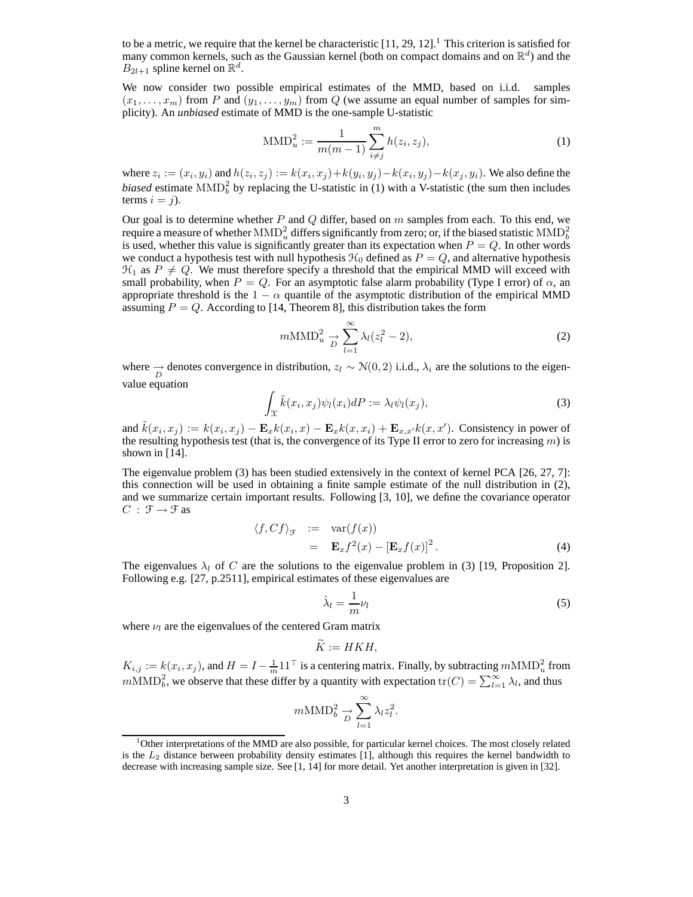to be a metric, we require that the kernel be characteristic  $[11, 29, 12]$ .<sup>1</sup> This criterion is satisfied for many common kernels, such as the Gaussian kernel (both on compact domains and on  $\mathbb{R}^d$ ) and the  $B_{2l+1}$  spline kernel on  $\mathbb{R}^d$ .

We now consider two possible empirical estimates of the MMD, based on i.i.d. samples  $(x_1, \ldots, x_m)$  from P and  $(y_1, \ldots, y_m)$  from Q (we assume an equal number of samples for simplicity). An *unbiased* estimate of MMD is the one-sample U-statistic

$$
\text{MMD}_{u}^{2} := \frac{1}{m(m-1)} \sum_{i \neq j}^{m} h(z_{i}, z_{j}), \tag{1}
$$

where  $z_i := (x_i, y_i)$  and  $h(z_i, z_j) := k(x_i, x_j) + k(y_i, y_j) - k(x_i, y_j) - k(x_j, y_i)$ . We also define the *biased* estimate  $\text{MMD}_{b}^{2}$  by replacing the U-statistic in (1) with a V-statistic (the sum then includes terms  $i = j$ ).

Our goal is to determine whether  $P$  and  $Q$  differ, based on  $m$  samples from each. To this end, we require a measure of whether  $\mathrm{MMD}_u^2$  differs significantly from zero; or, if the biased statistic  $\mathrm{MMD}_b^2$ is used, whether this value is significantly greater than its expectation when  $P = Q$ . In other words we conduct a hypothesis test with null hypothesis  $\mathcal{H}_0$  defined as  $P = Q$ , and alternative hypothesis  $\mathcal{H}_1$  as  $P \neq Q$ . We must therefore specify a threshold that the empirical MMD will exceed with small probability, when  $P = Q$ . For an asymptotic false alarm probability (Type I error) of  $\alpha$ , an appropriate threshold is the  $1 - \alpha$  quantile of the asymptotic distribution of the empirical MMD assuming  $P = Q$ . According to [14, Theorem 8], this distribution takes the form

$$
m\text{MMD}_{u}^{2} \underset{D}{\rightarrow} \sum_{l=1}^{\infty} \lambda_{l} (z_{l}^{2} - 2), \qquad (2)
$$

where  $\rightarrow$  denotes convergence in distribution,  $z_l \sim \mathcal{N}(0, 2)$  i.i.d.,  $\lambda_i$  are the solutions to the eigenvalue equation

$$
\int_{\mathcal{X}} \tilde{k}(x_i, x_j) \psi_l(x_i) dP := \lambda_l \psi_l(x_j), \tag{3}
$$

and  $\tilde{k}(x_i, x_j) := k(x_i, x_j) - \mathbf{E}_x k(x_i, x_j) - \mathbf{E}_x k(x, x_i) + \mathbf{E}_{x, x'} k(x, x')$ . Consistency in power of the resulting hypothesis test (that is, the convergence of its Type II error to zero for increasing  $m$ ) is shown in [14].

The eigenvalue problem (3) has been studied extensively in the context of kernel PCA [26, 27, 7]: this connection will be used in obtaining a finite sample estimate of the null distribution in (2), and we summarize certain important results. Following [3, 10], we define the covariance operator  $C : \mathcal{F} \rightarrow \mathcal{F}$  as

$$
\langle f, Cf \rangle_{\mathcal{F}} := \text{var}(f(x))
$$
  
=  $\mathbf{E}_x f^2(x) - [\mathbf{E}_x f(x)]^2$ . (4)

The eigenvalues  $\lambda_l$  of C are the solutions to the eigenvalue problem in (3) [19, Proposition 2]. Following e.g. [27, p.2511], empirical estimates of these eigenvalues are

$$
\hat{\lambda}_l = \frac{1}{m} \nu_l \tag{5}
$$

where  $\nu_l$  are the eigenvalues of the centered Gram matrix

$$
\widetilde{K}:=HKH,
$$

 $K_{i,j} := k(x_i, x_j)$ , and  $H = I - \frac{1}{m} 11^\top$  is a centering matrix. Finally, by subtracting  $m \text{MMD}_u^2$  from  $m\text{MMD}_b^2$ , we observe that these differ by a quantity with expectation  $\text{tr}(C) = \sum_{l=1}^{\infty} \lambda_l$ , and thus

$$
m\text{MMD}_b^2 \underset{D}{\rightarrow} \sum_{l=1}^{\infty} \lambda_l z_l^2.
$$

<sup>&</sup>lt;sup>1</sup>Other interpretations of the MMD are also possible, for particular kernel choices. The most closely related is the  $L_2$  distance between probability density estimates [1], although this requires the kernel bandwidth to decrease with increasing sample size. See [1, 14] for more detail. Yet another interpretation is given in [32].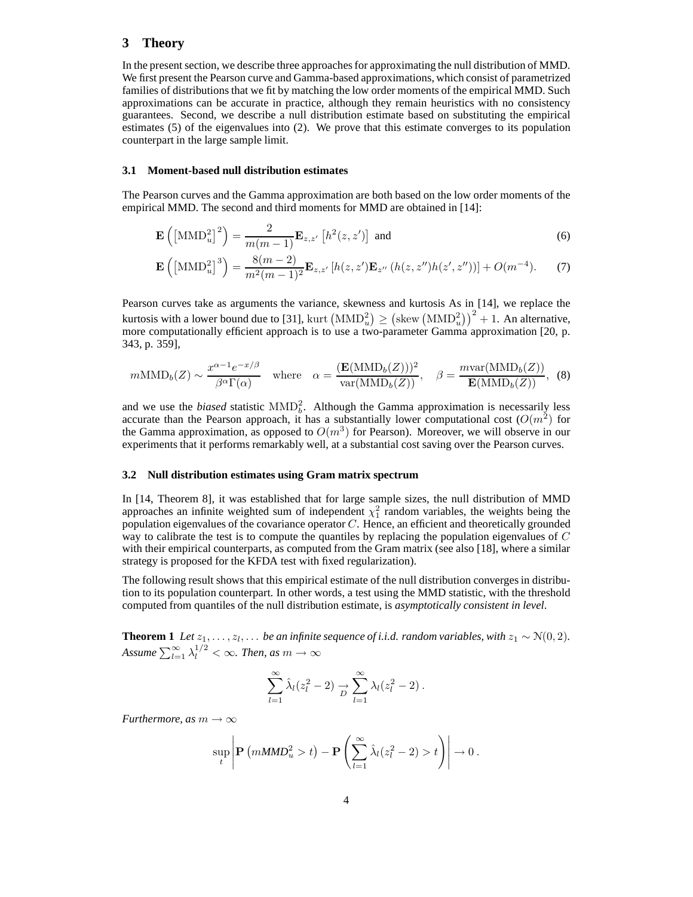## **3 Theory**

In the present section, we describe three approaches for approximating the null distribution of MMD. We first present the Pearson curve and Gamma-based approximations, which consist of parametrized families of distributions that we fit by matching the low order moments of the empirical MMD. Such approximations can be accurate in practice, although they remain heuristics with no consistency guarantees. Second, we describe a null distribution estimate based on substituting the empirical estimates (5) of the eigenvalues into (2). We prove that this estimate converges to its population counterpart in the large sample limit.

#### **3.1 Moment-based null distribution estimates**

The Pearson curves and the Gamma approximation are both based on the low order moments of the empirical MMD. The second and third moments for MMD are obtained in [14]:

$$
\mathbf{E}\left(\left[\text{MMD}_u^2\right]^2\right) = \frac{2}{m(m-1)}\mathbf{E}_{z,z'}\left[h^2(z,z')\right] \text{ and } \tag{6}
$$

$$
\mathbf{E}\left(\left[\text{MMD}_{u}^{2}\right]^{3}\right) = \frac{8(m-2)}{m^{2}(m-1)^{2}}\mathbf{E}_{z,z'}\left[h(z,z')\mathbf{E}_{z''}\left(h(z,z'')h(z',z'')\right)\right] + O(m^{-4}).\tag{7}
$$

Pearson curves take as arguments the variance, skewness and kurtosis As in [14], we replace the kurtosis with a lower bound due to [31], kurt  $(MMD_u^2) \geq (\text{skew } (MMD_u^2))^2 + 1$ . An alternative, more computationally efficient approach is to use a two-parameter Gamma approximation [20, p. 343, p. 359],

$$
m\text{MMD}_b(Z) \sim \frac{x^{\alpha - 1}e^{-x/\beta}}{\beta^{\alpha}\Gamma(\alpha)} \quad \text{where} \quad \alpha = \frac{(\mathbf{E}(\text{MMD}_b(Z)))^2}{\text{var}(\text{MMD}_b(Z))}, \quad \beta = \frac{m\text{var}(\text{MMD}_b(Z))}{\mathbf{E}(\text{MMD}_b(Z))}, \quad (8)
$$

and we use the *biased* statistic  $\text{MMD}_{b}^{2}$ . Although the Gamma approximation is necessarily less accurate than the Pearson approach, it has a substantially lower computational cost  $(O(m^2)$  for the Gamma approximation, as opposed to  $O(m^3)$  for Pearson). Moreover, we will observe in our experiments that it performs remarkably well, at a substantial cost saving over the Pearson curves.

#### **3.2 Null distribution estimates using Gram matrix spectrum**

In [14, Theorem 8], it was established that for large sample sizes, the null distribution of MMD approaches an infinite weighted sum of independent  $\chi_1^2$  random variables, the weights being the population eigenvalues of the covariance operator  $C$ . Hence, an efficient and theoretically grounded way to calibrate the test is to compute the quantiles by replacing the population eigenvalues of  $C$ with their empirical counterparts, as computed from the Gram matrix (see also [18], where a similar strategy is proposed for the KFDA test with fixed regularization).

The following result shows that this empirical estimate of the null distribution converges in distribution to its population counterpart. In other words, a test using the MMD statistic, with the threshold computed from quantiles of the null distribution estimate, is *asymptotically consistent in level*.

**Theorem 1** *Let*  $z_1, \ldots, z_l, \ldots$  *be an infinite sequence of i.i.d. random variables, with*  $z_1 \sim N(0, 2)$ *.* Assume  $\sum_{l=1}^{\infty} \lambda_l^{1/2} < \infty$ . Then, as  $m \to \infty$ 

$$
\sum_{l=1}^{\infty} \hat{\lambda}_l (z_l^2 - 2) \underset{D}{\rightarrow} \sum_{l=1}^{\infty} \lambda_l (z_l^2 - 2) .
$$

*Furthermore, as*  $m \to \infty$ 

$$
\sup_{t} \left| \mathbf{P}\left(mMMD_{u}^{2} > t\right) - \mathbf{P}\left(\sum_{l=1}^{\infty} \hat{\lambda}_{l}(z_{l}^{2} - 2) > t\right) \right| \to 0.
$$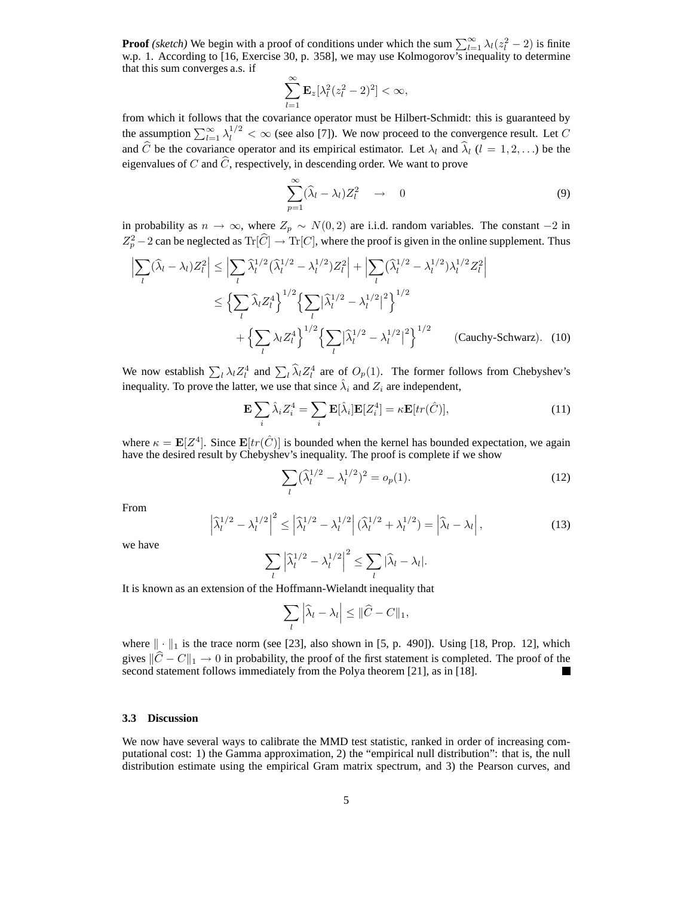**Proof** *(sketch)* We begin with a proof of conditions under which the sum  $\sum_{l=1}^{\infty} \lambda_l(z_l^2 - 2)$  is finite w.p. 1. According to [16, Exercise 30, p. 358], we may use Kolmogorov's inequality to determine that this sum converges a.s. if

$$
\sum_{l=1}^{\infty} \mathbf{E}_z[\lambda_l^2(z_l^2-2)^2] < \infty,
$$

from which it follows that the covariance operator must be Hilbert-Schmidt: this is guaranteed by the assumption  $\sum_{l=1}^{\infty} \lambda_l^{1/2} < \infty$  (see also [7]). We now proceed to the convergence result. Let C and  $\hat{C}$  be the covariance operator and its empirical estimator. Let  $\lambda_l$  and  $\hat{\lambda}_l$  ( $l = 1, 2, \ldots$ ) be the eigenvalues of C and  $\hat{C}$ , respectively, in descending order. We want to prove

$$
\sum_{p=1}^{\infty} (\widehat{\lambda}_l - \lambda_l) Z_l^2 \quad \to \quad 0 \tag{9}
$$

in probability as  $n \to \infty$ , where  $Z_p \sim N(0, 2)$  are i.i.d. random variables. The constant  $-2$  in  $Z_p^2 - 2$  can be neglected as  $\text{Tr}[\hat{C}] \rightarrow \text{Tr}[C]$ , where the proof is given in the online supplement. Thus

$$
\left| \sum_{l} (\hat{\lambda}_{l} - \lambda_{l}) Z_{l}^{2} \right| \leq \left| \sum_{l} \hat{\lambda}_{l}^{1/2} (\hat{\lambda}_{l}^{1/2} - \lambda_{l}^{1/2}) Z_{l}^{2} \right| + \left| \sum_{l} (\hat{\lambda}_{l}^{1/2} - \lambda_{l}^{1/2}) \lambda_{l}^{1/2} Z_{l}^{2} \right|
$$
  

$$
\leq \left\{ \sum_{l} \hat{\lambda}_{l} Z_{l}^{4} \right\}^{1/2} \left\{ \sum_{l} |\hat{\lambda}_{l}^{1/2} - \lambda_{l}^{1/2}|^{2} \right\}^{1/2}
$$
  

$$
+ \left\{ \sum_{l} \lambda_{l} Z_{l}^{4} \right\}^{1/2} \left\{ \sum_{l} |\hat{\lambda}_{l}^{1/2} - \lambda_{l}^{1/2}|^{2} \right\}^{1/2} \qquad \text{(Cauchy-Schwarz)}.\quad (10)
$$

We now establish  $\sum_l \lambda_l Z_l^4$  and  $\sum_l \hat{\lambda}_l Z_l^4$  are of  $O_p(1)$ . The former follows from Chebyshev's inequality. To prove the latter, we use that since  $\hat{\lambda}_i$  and  $Z_i$  are independent,

$$
\mathbf{E}\sum_{i}\hat{\lambda}_{i}Z_{i}^{4} = \sum_{i}\mathbf{E}[\hat{\lambda}_{i}]\mathbf{E}[Z_{i}^{4}] = \kappa \mathbf{E}[tr(\hat{C})],\tag{11}
$$

where  $\kappa = \mathbf{E}[Z^4]$ . Since  $\mathbf{E}[tr(\hat{C})]$  is bounded when the kernel has bounded expectation, we again have the desired result by Chebyshev's inequality. The proof is complete if we show

$$
\sum_{l} (\hat{\lambda}_l^{1/2} - \lambda_l^{1/2})^2 = o_p(1).
$$
 (12)

From

$$
\left|\widehat{\lambda}_l^{1/2} - \lambda_l^{1/2}\right|^2 \le \left|\widehat{\lambda}_l^{1/2} - \lambda_l^{1/2}\right| \left(\widehat{\lambda}_l^{1/2} + \lambda_l^{1/2}\right) = \left|\widehat{\lambda}_l - \lambda_l\right|,\tag{13}
$$

we have

$$
\sum_{l} \left| \widehat{\lambda}_l^{1/2} - \lambda_l^{1/2} \right|^2 \leq \sum_{l} \left| \widehat{\lambda}_l - \lambda_l \right|.
$$

It is known as an extension of the Hoffmann-Wielandt inequality that

$$
\sum_l \left| \widehat{\lambda}_l - \lambda_l \right| \leq \| \widehat{C} - C \|_1,
$$

where  $\|\cdot\|_1$  is the trace norm (see [23], also shown in [5, p. 490]). Using [18, Prop. 12], which gives  $||C - C||_1 \rightarrow 0$  in probability, the proof of the first statement is completed. The proof of the second statement follows immediately from the Polya theorem [21], as in [18].

#### **3.3 Discussion**

We now have several ways to calibrate the MMD test statistic, ranked in order of increasing computational cost: 1) the Gamma approximation, 2) the "empirical null distribution": that is, the null distribution estimate using the empirical Gram matrix spectrum, and 3) the Pearson curves, and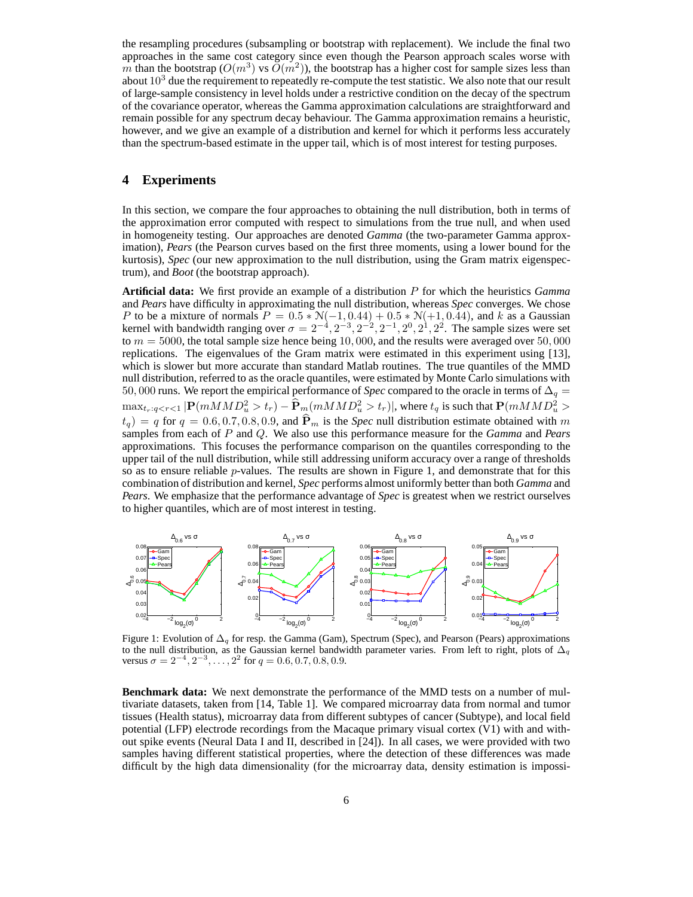the resampling procedures (subsampling or bootstrap with replacement). We include the final two approaches in the same cost category since even though the Pearson approach scales worse with m than the bootstrap  $(O(m^3) \text{ vs } O(m^2))$ , the bootstrap has a higher cost for sample sizes less than about  $10<sup>3</sup>$  due the requirement to repeatedly re-compute the test statistic. We also note that our result of large-sample consistency in level holds under a restrictive condition on the decay of the spectrum of the covariance operator, whereas the Gamma approximation calculations are straightforward and remain possible for any spectrum decay behaviour. The Gamma approximation remains a heuristic, however, and we give an example of a distribution and kernel for which it performs less accurately than the spectrum-based estimate in the upper tail, which is of most interest for testing purposes.

## **4 Experiments**

In this section, we compare the four approaches to obtaining the null distribution, both in terms of the approximation error computed with respect to simulations from the true null, and when used in homogeneity testing. Our approaches are denoted *Gamma* (the two-parameter Gamma approximation), *Pears* (the Pearson curves based on the first three moments, using a lower bound for the kurtosis), *Spec* (our new approximation to the null distribution, using the Gram matrix eigenspectrum), and *Boot* (the bootstrap approach).

**Artificial data:** We first provide an example of a distribution P for which the heuristics *Gamma* and *Pears* have difficulty in approximating the null distribution, whereas *Spec* converges. We chose P to be a mixture of normals  $P = 0.5 * \mathcal{N}(-1, 0.44) + 0.5 * \mathcal{N}(+1, 0.44)$ , and k as a Gaussian kernel with bandwidth ranging over  $\sigma = 2^{-4}, 2^{-3}, 2^{-2}, 2^{-1}, 2^0, 2^1, 2^2$ . The sample sizes were set to  $m = 5000$ , the total sample size hence being 10,000, and the results were averaged over 50,000 replications. The eigenvalues of the Gram matrix were estimated in this experiment using [13], which is slower but more accurate than standard Matlab routines. The true quantiles of the MMD null distribution, referred to as the oracle quantiles, were estimated by Monte Carlo simulations with 50, 000 runs. We report the empirical performance of *Spec* compared to the oracle in terms of  $\Delta_q$  =  $\max_{t_r: q < r < 1} |P(mMMD_u^2 > t_r) - \widehat{P}_m(mMMD_u^2 > t_r)|$ , where  $t_q$  is such that  $P(mMMD_u^2 > t_r)$  $t_q$ ) = q for  $q = 0.6, 0.7, 0.8, 0.9$ , and  $\hat{P}_m$  is the *Spec* null distribution estimate obtained with m samples from each of P and Q. We also use this performance measure for the *Gamma* and *Pears* approximations. This focuses the performance comparison on the quantiles corresponding to the upper tail of the null distribution, while still addressing uniform accuracy over a range of thresholds so as to ensure reliable *p*-values. The results are shown in Figure 1, and demonstrate that for this combination of distribution and kernel, *Spec* performs almost uniformly better than both *Gamma* and *Pears*. We emphasize that the performance advantage of *Spec* is greatest when we restrict ourselves to higher quantiles, which are of most interest in testing.



Figure 1: Evolution of  $\Delta_q$  for resp. the Gamma (Gam), Spectrum (Spec), and Pearson (Pears) approximations to the null distribution, as the Gaussian kernel bandwidth parameter varies. From left to right, plots of  $\Delta_q$ versus  $\sigma = 2^{-4}, 2^{-3}, \ldots, 2^2$  for  $q = 0.6, 0.7, 0.8, 0.9$ .

**Benchmark data:** We next demonstrate the performance of the MMD tests on a number of multivariate datasets, taken from [14, Table 1]. We compared microarray data from normal and tumor tissues (Health status), microarray data from different subtypes of cancer (Subtype), and local field potential (LFP) electrode recordings from the Macaque primary visual cortex (V1) with and without spike events (Neural Data I and II, described in [24]). In all cases, we were provided with two samples having different statistical properties, where the detection of these differences was made difficult by the high data dimensionality (for the microarray data, density estimation is impossi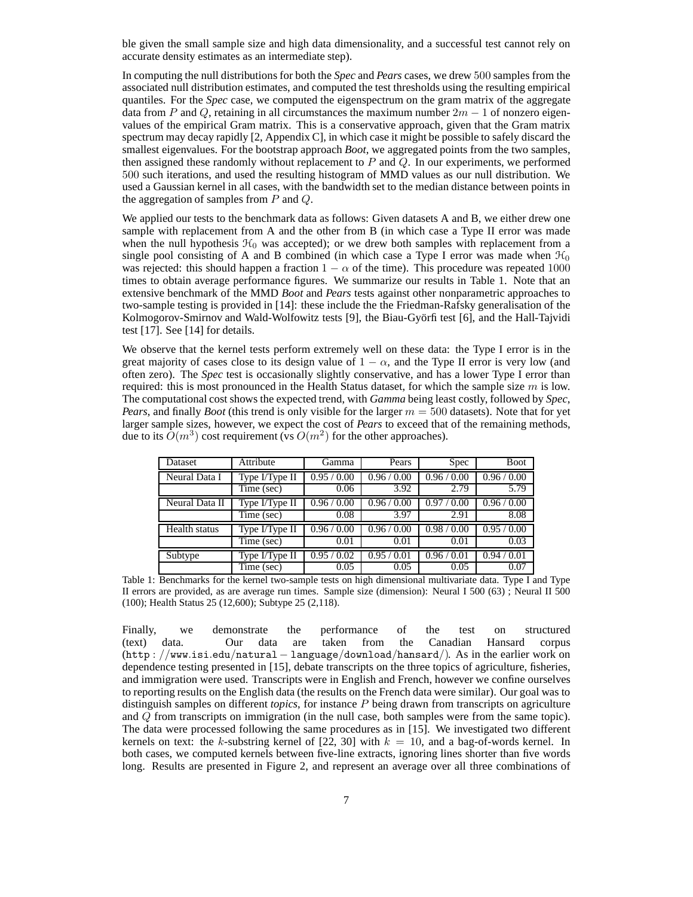ble given the small sample size and high data dimensionality, and a successful test cannot rely on accurate density estimates as an intermediate step).

In computing the null distributions for both the *Spec* and *Pears* cases, we drew 500 samples from the associated null distribution estimates, and computed the test thresholds using the resulting empirical quantiles. For the *Spec* case, we computed the eigenspectrum on the gram matrix of the aggregate data from P and Q, retaining in all circumstances the maximum number  $2m - 1$  of nonzero eigenvalues of the empirical Gram matrix. This is a conservative approach, given that the Gram matrix spectrum may decay rapidly [2, Appendix C], in which case it might be possible to safely discard the smallest eigenvalues. For the bootstrap approach *Boot*, we aggregated points from the two samples, then assigned these randomly without replacement to  $P$  and  $Q$ . In our experiments, we performed 500 such iterations, and used the resulting histogram of MMD values as our null distribution. We used a Gaussian kernel in all cases, with the bandwidth set to the median distance between points in the aggregation of samples from  $P$  and  $Q$ .

We applied our tests to the benchmark data as follows: Given datasets A and B, we either drew one sample with replacement from A and the other from B (in which case a Type II error was made when the null hypothesis  $H_0$  was accepted); or we drew both samples with replacement from a single pool consisting of A and B combined (in which case a Type I error was made when  $\mathcal{H}_0$ ) was rejected: this should happen a fraction  $1 - \alpha$  of the time). This procedure was repeated 1000 times to obtain average performance figures. We summarize our results in Table 1. Note that an extensive benchmark of the MMD *Boot* and *Pears* tests against other nonparametric approaches to two-sample testing is provided in [14]: these include the the Friedman-Rafsky generalisation of the Kolmogorov-Smirnov and Wald-Wolfowitz tests [9], the Biau-Györfi test [6], and the Hall-Tajvidi test [17]. See [14] for details.

We observe that the kernel tests perform extremely well on these data: the Type I error is in the great majority of cases close to its design value of  $1 - \alpha$ , and the Type II error is very low (and often zero). The *Spec* test is occasionally slightly conservative, and has a lower Type I error than required: this is most pronounced in the Health Status dataset, for which the sample size  $m$  is low. The computational cost shows the expected trend, with *Gamma* being least costly, followed by *Spec*, *Pears*, and finally *Boot* (this trend is only visible for the larger  $m = 500$  datasets). Note that for yet larger sample sizes, however, we expect the cost of *Pears* to exceed that of the remaining methods, due to its  $\tilde{O}(m^3)$  cost requirement (vs  $O(m^2)$  for the other approaches).

| Dataset              | Attribute      | Gamma     | Pears       | Spec        | <b>Boot</b> |
|----------------------|----------------|-----------|-------------|-------------|-------------|
| Neural Data I        | Type I/Type II | 0.95/0.00 | 0.96 / 0.00 | 0.96 / 0.00 | 0.96 / 0.00 |
|                      | Time (sec)     | 0.06      | 3.92        | 2.79        | 5.79        |
| Neural Data II       | Type I/Type II | 0.96/0.00 | 0.96/0.00   | 0.97/0.00   | 0.96 / 0.00 |
|                      | Time (sec)     | 0.08      | 3.97        | 2.91        | 8.08        |
| <b>Health</b> status | Type I/Type II | 0.96/0.00 | 0.96/0.00   | 0.98/0.00   | 0.95/0.00   |
|                      | Time (sec)     | 0.01      | 0.01        | 0.01        | 0.03        |
| Subtype              | Type I/Type II | 0.95/0.02 | 0.95/0.01   | 0.96/0.01   | 0.94/0.01   |
|                      | Time (sec)     | 0.05      | 0.05        | 0.05        | 0.07        |

Table 1: Benchmarks for the kernel two-sample tests on high dimensional multivariate data. Type I and Type II errors are provided, as are average run times. Sample size (dimension): Neural I 500 (63) ; Neural II 500 (100); Health Status 25 (12,600); Subtype 25 (2,118).

Finally, we demonstrate the performance of the test on structured (text) data. Our data are taken from the Canadian Hansard corpus (http : //www.isi.edu/natural− language/download/hansard/). As in the earlier work on dependence testing presented in [15], debate transcripts on the three topics of agriculture, fisheries, and immigration were used. Transcripts were in English and French, however we confine ourselves to reporting results on the English data (the results on the French data were similar). Our goal was to distinguish samples on different *topics*, for instance P being drawn from transcripts on agriculture and Q from transcripts on immigration (in the null case, both samples were from the same topic). The data were processed following the same procedures as in [15]. We investigated two different kernels on text: the k-substring kernel of  $[22, 30]$  with  $k = 10$ , and a bag-of-words kernel. In both cases, we computed kernels between five-line extracts, ignoring lines shorter than five words long. Results are presented in Figure 2, and represent an average over all three combinations of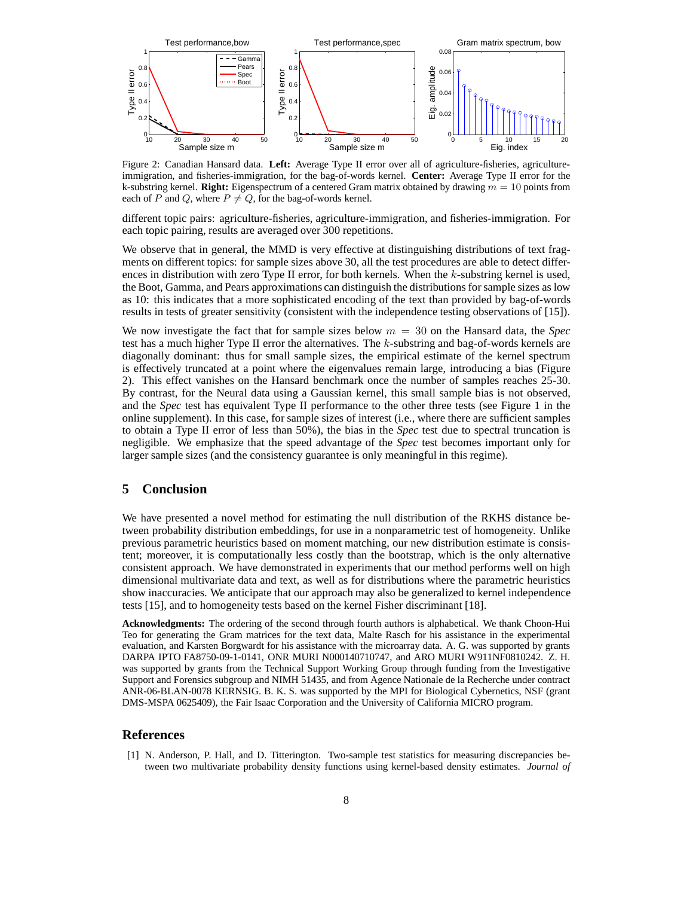

Figure 2: Canadian Hansard data. **Left:** Average Type II error over all of agriculture-fisheries, agricultureimmigration, and fisheries-immigration, for the bag-of-words kernel. **Center:** Average Type II error for the k-substring kernel. **Right:** Eigenspectrum of a centered Gram matrix obtained by drawing  $m = 10$  points from each of P and Q, where  $P \neq Q$ , for the bag-of-words kernel.

different topic pairs: agriculture-fisheries, agriculture-immigration, and fisheries-immigration. For each topic pairing, results are averaged over 300 repetitions.

We observe that in general, the MMD is very effective at distinguishing distributions of text fragments on different topics: for sample sizes above 30, all the test procedures are able to detect differences in distribution with zero Type II error, for both kernels. When the  $k$ -substring kernel is used, the Boot, Gamma, and Pears approximations can distinguish the distributions for sample sizes as low as 10: this indicates that a more sophisticated encoding of the text than provided by bag-of-words results in tests of greater sensitivity (consistent with the independence testing observations of [15]).

We now investigate the fact that for sample sizes below  $m = 30$  on the Hansard data, the *Spec* test has a much higher Type II error the alternatives. The  $k$ -substring and bag-of-words kernels are diagonally dominant: thus for small sample sizes, the empirical estimate of the kernel spectrum is effectively truncated at a point where the eigenvalues remain large, introducing a bias (Figure 2). This effect vanishes on the Hansard benchmark once the number of samples reaches 25-30. By contrast, for the Neural data using a Gaussian kernel, this small sample bias is not observed, and the *Spec* test has equivalent Type II performance to the other three tests (see Figure 1 in the online supplement). In this case, for sample sizes of interest (i.e., where there are sufficient samples to obtain a Type II error of less than 50%), the bias in the *Spec* test due to spectral truncation is negligible. We emphasize that the speed advantage of the *Spec* test becomes important only for larger sample sizes (and the consistency guarantee is only meaningful in this regime).

### **5 Conclusion**

We have presented a novel method for estimating the null distribution of the RKHS distance between probability distribution embeddings, for use in a nonparametric test of homogeneity. Unlike previous parametric heuristics based on moment matching, our new distribution estimate is consistent; moreover, it is computationally less costly than the bootstrap, which is the only alternative consistent approach. We have demonstrated in experiments that our method performs well on high dimensional multivariate data and text, as well as for distributions where the parametric heuristics show inaccuracies. We anticipate that our approach may also be generalized to kernel independence tests [15], and to homogeneity tests based on the kernel Fisher discriminant [18].

**Acknowledgments:** The ordering of the second through fourth authors is alphabetical. We thank Choon-Hui Teo for generating the Gram matrices for the text data, Malte Rasch for his assistance in the experimental evaluation, and Karsten Borgwardt for his assistance with the microarray data. A. G. was supported by grants DARPA IPTO FA8750-09-1-0141, ONR MURI N000140710747, and ARO MURI W911NF0810242. Z. H. was supported by grants from the Technical Support Working Group through funding from the Investigative Support and Forensics subgroup and NIMH 51435, and from Agence Nationale de la Recherche under contract ANR-06-BLAN-0078 KERNSIG. B. K. S. was supported by the MPI for Biological Cybernetics, NSF (grant DMS-MSPA 0625409), the Fair Isaac Corporation and the University of California MICRO program.

#### **References**

[1] N. Anderson, P. Hall, and D. Titterington. Two-sample test statistics for measuring discrepancies between two multivariate probability density functions using kernel-based density estimates. *Journal of*